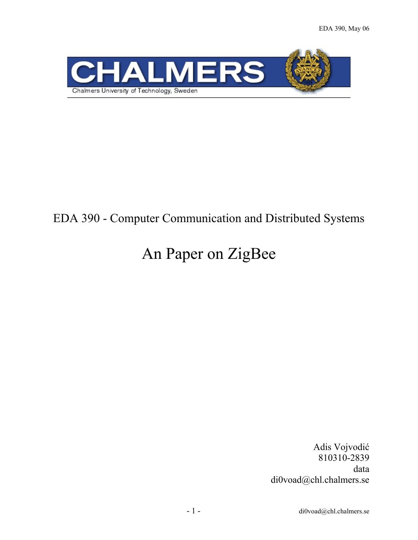

# EDA 390 - Computer Communication and Distributed Systems

# An Paper on ZigBee

Adis Vojvodić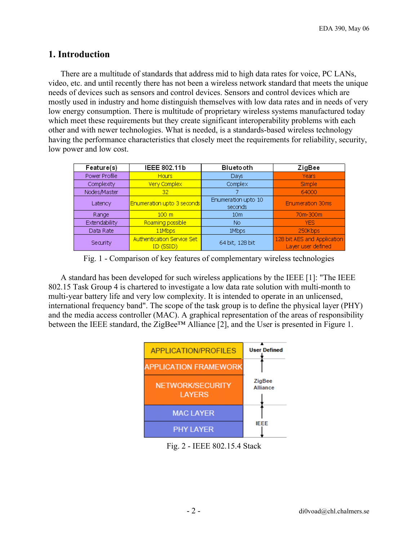# **1. Introduction**

There are a multitude of standards that address mid to high data rates for voice, PC LANs, video, etc. and until recently there has not been a wireless network standard that meets the unique needs of devices such as sensors and control devices. Sensors and control devices which are mostly used in industry and home distinguish themselves with low data rates and in needs of very low energy consumption. There is multitude of proprietary wireless systems manufactured today which meet these requirements but they create significant interoperability problems with each other and with newer technologies. What is needed, is a standards-based wireless technology having the performance characteristics that closely meet the requirements for reliability, security, low power and low cost.

| Feature(s)    | IEEE 802.11b                            | Bluetooth                      | ZigBee                                            |
|---------------|-----------------------------------------|--------------------------------|---------------------------------------------------|
| Power Profile | <b>Hours</b>                            | Days:                          | Years                                             |
| Complexity    | Very Complex                            | Complex                        | Simple                                            |
| Nodes/Master  | 32                                      |                                | 64000                                             |
| Latency       | <b>Enumeration upto 3 seconds</b>       | Enumeration upto 10<br>seconds | <b>Enumeration 30ms</b>                           |
| Range         | 100 <sub>m</sub>                        | 10 <sub>m</sub>                | 70m-300m                                          |
| Extendability | Roaming possible                        | No.                            | <b>YES</b>                                        |
| Data Rate     | 11Mbps                                  | 1Mbps                          | 250Kbps                                           |
| Security      | Authentication Service Set<br>ID (SSID) | 64 bit, 128 bit                | 128 bit AES and Application<br>Layer user defined |

Fig. 1 - Comparison of key features of complementary wireless technologies

A standard has been developed for such wireless applications by the IEEE [1]: "The IEEE 802.15 Task Group 4 is chartered to investigate a low data rate solution with multi-month to multi-year battery life and very low complexity. It is intended to operate in an unlicensed, international frequency band". The scope of the task group is to define the physical layer (PHY) and the media access controller (MAC). A graphical representation of the areas of responsibility between the IEEE standard, the ZigBee™ Alliance [2], and the User is presented in Figure 1.



Fig. 2 - IEEE 802.15.4 Stack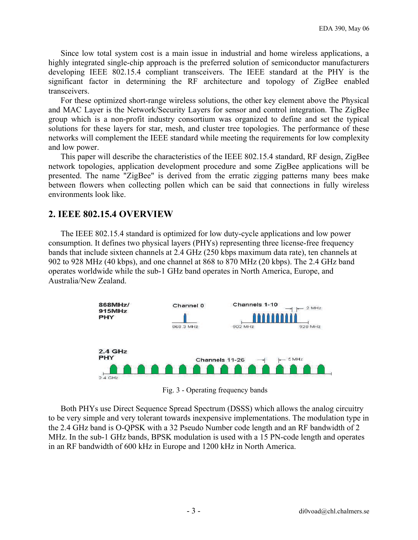Since low total system cost is a main issue in industrial and home wireless applications, a highly integrated single-chip approach is the preferred solution of semiconductor manufacturers developing IEEE 802.15.4 compliant transceivers. The IEEE standard at the PHY is the significant factor in determining the RF architecture and topology of ZigBee enabled transceivers.

For these optimized short-range wireless solutions, the other key element above the Physical and MAC Layer is the Network/Security Layers for sensor and control integration. The ZigBee group which is a non-profit industry consortium was organized to define and set the typical solutions for these layers for star, mesh, and cluster tree topologies. The performance of these networks will complement the IEEE standard while meeting the requirements for low complexity and low power.

This paper will describe the characteristics of the IEEE 802.15.4 standard, RF design, ZigBee network topologies, application development procedure and some ZigBee applications will be presented. The name "ZigBee" is derived from the erratic zigging patterns many bees make between flowers when collecting pollen which can be said that connections in fully wireless environments look like.

# **2. IEEE 802.15.4 OVERVIEW**

The IEEE 802.15.4 standard is optimized for low duty-cycle applications and low power consumption. It defines two physical layers (PHYs) representing three license-free frequency bands that include sixteen channels at 2.4 GHz (250 kbps maximum data rate), ten channels at 902 to 928 MHz (40 kbps), and one channel at 868 to 870 MHz (20 kbps). The 2.4 GHz band operates worldwide while the sub-1 GHz band operates in North America, Europe, and Australia/New Zealand.



Fig. 3 - Operating frequency bands

Both PHYs use Direct Sequence Spread Spectrum (DSSS) which allows the analog circuitry to be very simple and very tolerant towards inexpensive implementations. The modulation type in the 2.4 GHz band is O-QPSK with a 32 Pseudo Number code length and an RF bandwidth of 2 MHz. In the sub-1 GHz bands, BPSK modulation is used with a 15 PN-code length and operates in an RF bandwidth of 600 kHz in Europe and 1200 kHz in North America.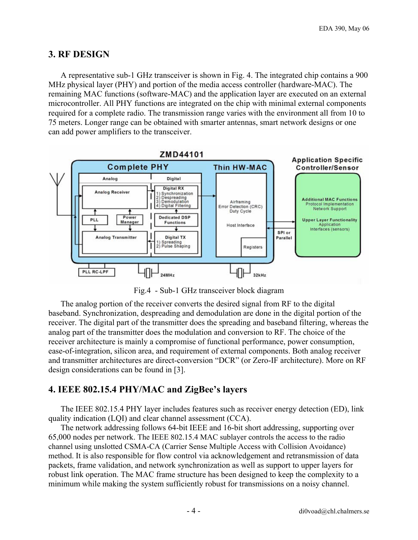## **3. RF DESIGN**

A representative sub-1 GHz transceiver is shown in Fig. 4. The integrated chip contains a 900 MHz physical layer (PHY) and portion of the media access controller (hardware-MAC). The remaining MAC functions (software-MAC) and the application layer are executed on an external microcontroller. All PHY functions are integrated on the chip with minimal external components required for a complete radio. The transmission range varies with the environment all from 10 to 75 meters. Longer range can be obtained with smarter antennas, smart network designs or one can add power amplifiers to the transceiver.



Fig.4 - Sub-1 GHz transceiver block diagram

The analog portion of the receiver converts the desired signal from RF to the digital baseband. Synchronization, despreading and demodulation are done in the digital portion of the receiver. The digital part of the transmitter does the spreading and baseband filtering, whereas the analog part of the transmitter does the modulation and conversion to RF. The choice of the receiver architecture is mainly a compromise of functional performance, power consumption, ease-of-integration, silicon area, and requirement of external components. Both analog receiver and transmitter architectures are direct-conversion "DCR" (or Zero-IF architecture). More on RF design considerations can be found in [3].

# **4. IEEE 802.15.4 PHY/MAC and ZigBee's layers**

The IEEE 802.15.4 PHY layer includes features such as receiver energy detection (ED), link quality indication (LQI) and clear channel assessment (CCA).

The network addressing follows 64-bit IEEE and 16-bit short addressing, supporting over 65,000 nodes per network. The IEEE 802.15.4 MAC sublayer controls the access to the radio channel using unslotted CSMA-CA (Carrier Sense Multiple Access with Collision Avoidance) method. It is also responsible for flow control via acknowledgement and retransmission of data packets, frame validation, and network synchronization as well as support to upper layers for robust link operation. The MAC frame structure has been designed to keep the complexity to a minimum while making the system sufficiently robust for transmissions on a noisy channel.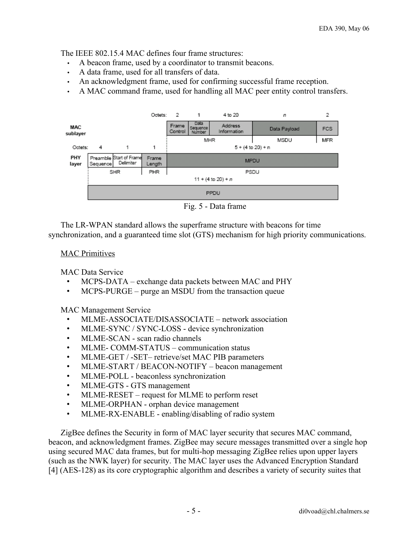The IEEE 802.15.4 MAC defines four frame structures:

- A beacon frame, used by a coordinator to transmit beacons.
- A data frame, used for all transfers of data.
- An acknowledgment frame, used for confirming successful frame reception.
- A MAC command frame, used for handling all MAC peer entity control transfers.



Fig. 5 - Data frame

The LR-WPAN standard allows the superframe structure with beacons for time synchronization, and a guaranteed time slot (GTS) mechanism for high priority communications.

#### MAC Primitives

MAC Data Service

- MCPS-DATA exchange data packets between MAC and PHY
- MCPS-PURGE purge an MSDU from the transaction queue

MAC Management Service

- MLME-ASSOCIATE/DISASSOCIATE network association
- MLME-SYNC / SYNC-LOSS device synchronization
- MLME-SCAN scan radio channels
- MLME- COMM-STATUS communication status
- MLME-GET / -SET– retrieve/set MAC PIB parameters
- MLME-START / BEACON-NOTIFY beacon management
- MLME-POLL beaconless synchronization
- MLME-GTS GTS management
- MLME-RESET request for MLME to perform reset
- MLME-ORPHAN orphan device management
- MLME-RX-ENABLE enabling/disabling of radio system

ZigBee defines the Security in form of MAC layer security that secures MAC command, beacon, and acknowledgment frames. ZigBee may secure messages transmitted over a single hop using secured MAC data frames, but for multi-hop messaging ZigBee relies upon upper layers (such as the NWK layer) for security. The MAC layer uses the Advanced Encryption Standard [4] (AES-128) as its core cryptographic algorithm and describes a variety of security suites that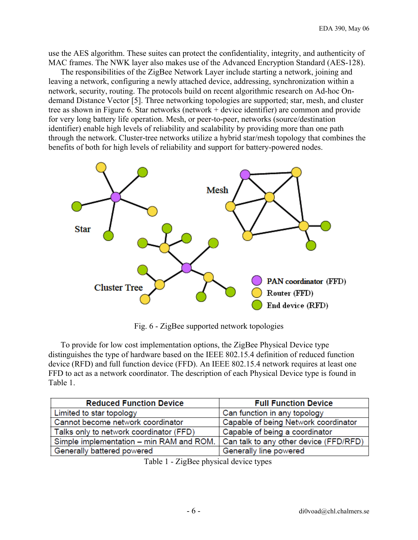use the AES algorithm. These suites can protect the confidentiality, integrity, and authenticity of MAC frames. The NWK layer also makes use of the Advanced Encryption Standard (AES-128).

The responsibilities of the ZigBee Network Layer include starting a network, joining and leaving a network, configuring a newly attached device, addressing, synchronization within a network, security, routing. The protocols build on recent algorithmic research on Ad-hoc Ondemand Distance Vector [5]. Three networking topologies are supported; star, mesh, and cluster tree as shown in Figure 6. Star networks (network + device identifier) are common and provide for very long battery life operation. Mesh, or peer-to-peer, networks (source/destination identifier) enable high levels of reliability and scalability by providing more than one path through the network. Cluster-tree networks utilize a hybrid star/mesh topology that combines the benefits of both for high levels of reliability and support for battery-powered nodes.



Fig. 6 - ZigBee supported network topologies

To provide for low cost implementation options, the ZigBee Physical Device type distinguishes the type of hardware based on the IEEE 802.15.4 definition of reduced function device (RFD) and full function device (FFD). An IEEE 802.15.4 network requires at least one FFD to act as a network coordinator. The description of each Physical Device type is found in Table 1.

| <b>Reduced Function Device</b>                                                    | <b>Full Function Device</b>          |  |
|-----------------------------------------------------------------------------------|--------------------------------------|--|
| Limited to star topology                                                          | Can function in any topology         |  |
| Cannot become network coordinator                                                 | Capable of being Network coordinator |  |
| Talks only to network coordinator (FFD)                                           | Capable of being a coordinator       |  |
| Simple implementation – min RAM and ROM.   Can talk to any other device (FFD/RFD) |                                      |  |
| Generally battered powered                                                        | Generally line powered               |  |

Table 1 - ZigBee physical device types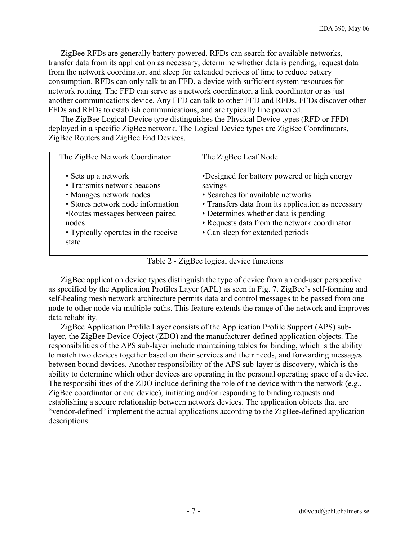ZigBee RFDs are generally battery powered. RFDs can search for available networks, transfer data from its application as necessary, determine whether data is pending, request data from the network coordinator, and sleep for extended periods of time to reduce battery consumption. RFDs can only talk to an FFD, a device with sufficient system resources for network routing. The FFD can serve as a network coordinator, a link coordinator or as just another communications device. Any FFD can talk to other FFD and RFDs. FFDs discover other FFDs and RFDs to establish communications, and are typically line powered.

The ZigBee Logical Device type distinguishes the Physical Device types (RFD or FFD) deployed in a specific ZigBee network. The Logical Device types are ZigBee Coordinators, ZigBee Routers and ZigBee End Devices.

| The ZigBee Network Coordinator                                                                                                                                                                                 | The ZigBee Leaf Node                                                                                                                                                                                                                                                           |
|----------------------------------------------------------------------------------------------------------------------------------------------------------------------------------------------------------------|--------------------------------------------------------------------------------------------------------------------------------------------------------------------------------------------------------------------------------------------------------------------------------|
| • Sets up a network<br>• Transmits network beacons<br>• Manages network nodes<br>• Stores network node information<br>•Routes messages between paired<br>nodes<br>• Typically operates in the receive<br>state | •Designed for battery powered or high energy<br>savings<br>• Searches for available networks<br>• Transfers data from its application as necessary<br>• Determines whether data is pending<br>• Requests data from the network coordinator<br>• Can sleep for extended periods |

Table 2 - ZigBee logical device functions

ZigBee application device types distinguish the type of device from an end-user perspective as specified by the Application Profiles Layer (APL) as seen in Fig. 7. ZigBee's self-forming and self-healing mesh network architecture permits data and control messages to be passed from one node to other node via multiple paths. This feature extends the range of the network and improves data reliability.

ZigBee Application Profile Layer consists of the Application Profile Support (APS) sublayer, the ZigBee Device Object (ZDO) and the manufacturer-defined application objects. The responsibilities of the APS sub-layer include maintaining tables for binding, which is the ability to match two devices together based on their services and their needs, and forwarding messages between bound devices. Another responsibility of the APS sub-layer is discovery, which is the ability to determine which other devices are operating in the personal operating space of a device. The responsibilities of the ZDO include defining the role of the device within the network (e.g., ZigBee coordinator or end device), initiating and/or responding to binding requests and establishing a secure relationship between network devices. The application objects that are "vendor-defined" implement the actual applications according to the ZigBee-defined application descriptions.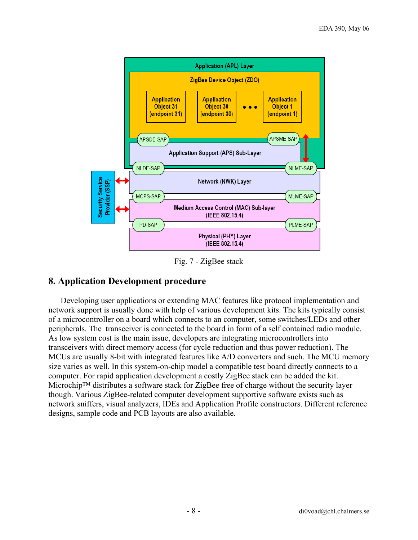![](_page_7_Figure_1.jpeg)

Fig. 7 - ZigBee stack

# **8. Application Development procedure**

Developing user applications or extending MAC features like protocol implementation and network support is usually done with help of various development kits. The kits typically consist of a microcontroller on a board which connects to an computer, some switches/LEDs and other peripherals. The transceiver is connected to the board in form of a self contained radio module. As low system cost is the main issue, developers are integrating microcontrollers into transceivers with direct memory access (for cycle reduction and thus power reduction). The MCUs are usually 8-bit with integrated features like A/D converters and such. The MCU memory size varies as well. In this system-on-chip model a compatible test board directly connects to a computer. For rapid application development a costly ZigBee stack can be added the kit. Microchip™ distributes a software stack for ZigBee free of charge without the security layer though. Various ZigBee-related computer development supportive software exists such as network sniffers, visual analyzers, IDEs and Application Profile constructors. Different reference designs, sample code and PCB layouts are also available.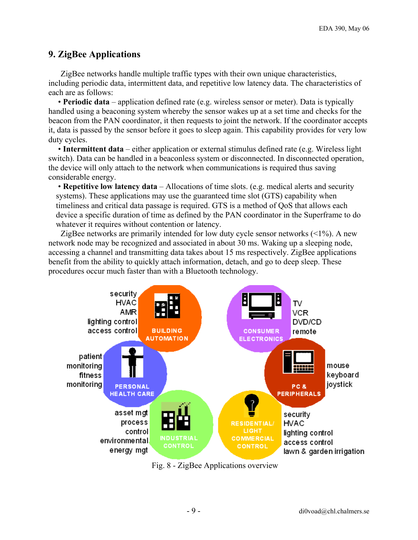# **9. ZigBee Applications**

ZigBee networks handle multiple traffic types with their own unique characteristics, including periodic data, intermittent data, and repetitive low latency data. The characteristics of each are as follows:

• **Periodic data** – application defined rate (e.g. wireless sensor or meter). Data is typically handled using a beaconing system whereby the sensor wakes up at a set time and checks for the beacon from the PAN coordinator, it then requests to joint the network. If the coordinator accepts it, data is passed by the sensor before it goes to sleep again. This capability provides for very low duty cycles.

• **Intermittent data** – either application or external stimulus defined rate (e.g. Wireless light switch). Data can be handled in a beaconless system or disconnected. In disconnected operation, the device will only attach to the network when communications is required thus saving considerable energy.

• **Repetitive low latency data** – Allocations of time slots. (e.g. medical alerts and security systems). These applications may use the guaranteed time slot (GTS) capability when timeliness and critical data passage is required. GTS is a method of QoS that allows each device a specific duration of time as defined by the PAN coordinator in the Superframe to do whatever it requires without contention or latency.

ZigBee networks are primarily intended for low duty cycle sensor networks  $\left( \langle 1\% \rangle$ . A new network node may be recognized and associated in about 30 ms. Waking up a sleeping node, accessing a channel and transmitting data takes about 15 ms respectively. ZigBee applications benefit from the ability to quickly attach information, detach, and go to deep sleep. These procedures occur much faster than with a Bluetooth technology.

![](_page_8_Figure_7.jpeg)

Fig. 8 - ZigBee Applications overview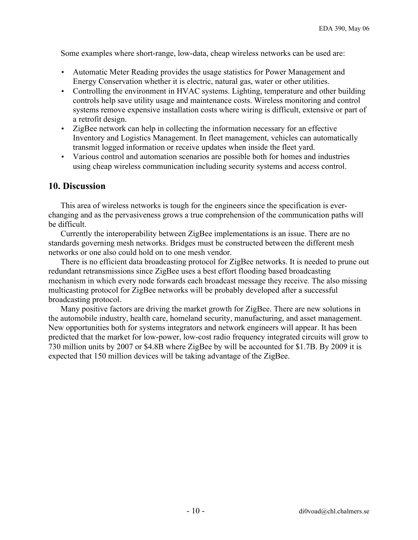Some examples where short-range, low-data, cheap wireless networks can be used are:

- Automatic Meter Reading provides the usage statistics for Power Management and Energy Conservation whether it is electric, natural gas, water or other utilities.
- Controlling the environment in HVAC systems. Lighting, temperature and other building controls help save utility usage and maintenance costs. Wireless monitoring and control systems remove expensive installation costs where wiring is difficult, extensive or part of a retrofit design.
- ZigBee network can help in collecting the information necessary for an effective Inventory and Logistics Management. In fleet management, vehicles can automatically transmit logged information or receive updates when inside the fleet yard.
- Various control and automation scenarios are possible both for homes and industries using cheap wireless communication including security systems and access control.

## **10. Discussion**

This area of wireless networks is tough for the engineers since the specification is everchanging and as the pervasiveness grows a true comprehension of the communication paths will be difficult.

Currently the interoperability between ZigBee implementations is an issue. There are no standards governing mesh networks. Bridges must be constructed between the different mesh networks or one also could hold on to one mesh vendor.

There is no efficient data broadcasting protocol for ZigBee networks. It is needed to prune out redundant retransmissions since ZigBee uses a best effort flooding based broadcasting mechanism in which every node forwards each broadcast message they receive. The also missing multicasting protocol for ZigBee networks will be probably developed after a successful broadcasting protocol.

Many positive factors are driving the market growth for ZigBee. There are new solutions in the automobile industry, health care, homeland security, manufacturing, and asset management. New opportunities both for systems integrators and network engineers will appear. It has been predicted that the market for low-power, low-cost radio frequency integrated circuits will grow to 730 million units by 2007 or \$4.8B where ZigBee by will be accounted for \$1.7B. By 2009 it is expected that 150 million devices will be taking advantage of the ZigBee.